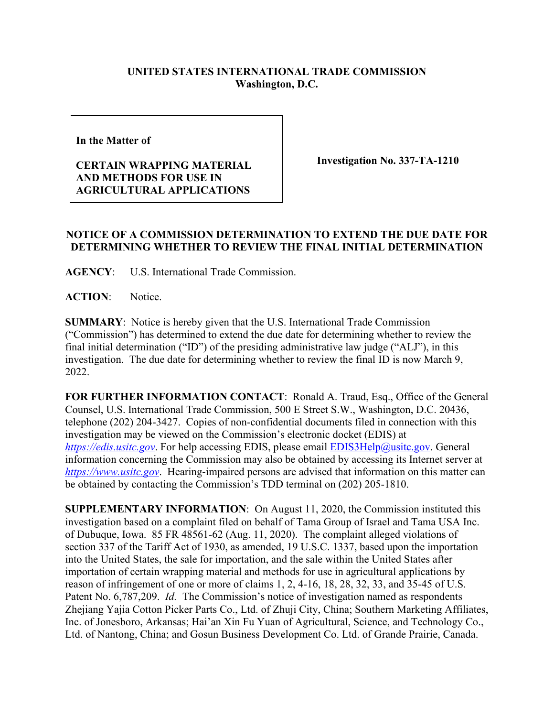## **UNITED STATES INTERNATIONAL TRADE COMMISSION Washington, D.C.**

**In the Matter of** 

## **CERTAIN WRAPPING MATERIAL AND METHODS FOR USE IN AGRICULTURAL APPLICATIONS**

**Investigation No. 337-TA-1210**

## **NOTICE OF A COMMISSION DETERMINATION TO EXTEND THE DUE DATE FOR DETERMINING WHETHER TO REVIEW THE FINAL INITIAL DETERMINATION**

**AGENCY**: U.S. International Trade Commission.

ACTION: Notice.

**SUMMARY**: Notice is hereby given that the U.S. International Trade Commission ("Commission") has determined to extend the due date for determining whether to review the final initial determination ("ID") of the presiding administrative law judge ("ALJ"), in this investigation. The due date for determining whether to review the final ID is now March 9, 2022.

**FOR FURTHER INFORMATION CONTACT**: Ronald A. Traud, Esq., Office of the General Counsel, U.S. International Trade Commission, 500 E Street S.W., Washington, D.C. 20436, telephone (202) 204-3427. Copies of non-confidential documents filed in connection with this investigation may be viewed on the Commission's electronic docket (EDIS) at *[https://edis.usitc.gov](https://edis.usitc.gov/).* For help accessing EDIS, please email [EDIS3Help@usitc.gov.](mailto:EDIS3Help@usitc.gov) General information concerning the Commission may also be obtained by accessing its Internet server at *[https://www.usitc.gov](https://www.usitc.gov/)*. Hearing-impaired persons are advised that information on this matter can be obtained by contacting the Commission's TDD terminal on (202) 205-1810.

**SUPPLEMENTARY INFORMATION**: On August 11, 2020, the Commission instituted this investigation based on a complaint filed on behalf of Tama Group of Israel and Tama USA Inc. of Dubuque, Iowa. 85 FR 48561-62 (Aug. 11, 2020). The complaint alleged violations of section 337 of the Tariff Act of 1930, as amended, 19 U.S.C. 1337, based upon the importation into the United States, the sale for importation, and the sale within the United States after importation of certain wrapping material and methods for use in agricultural applications by reason of infringement of one or more of claims 1, 2, 4-16, 18, 28, 32, 33, and 35-45 of U.S. Patent No. 6,787,209. *Id.* The Commission's notice of investigation named as respondents Zhejiang Yajia Cotton Picker Parts Co., Ltd. of Zhuji City, China; Southern Marketing Affiliates, Inc. of Jonesboro, Arkansas; Hai'an Xin Fu Yuan of Agricultural, Science, and Technology Co., Ltd. of Nantong, China; and Gosun Business Development Co. Ltd. of Grande Prairie, Canada.